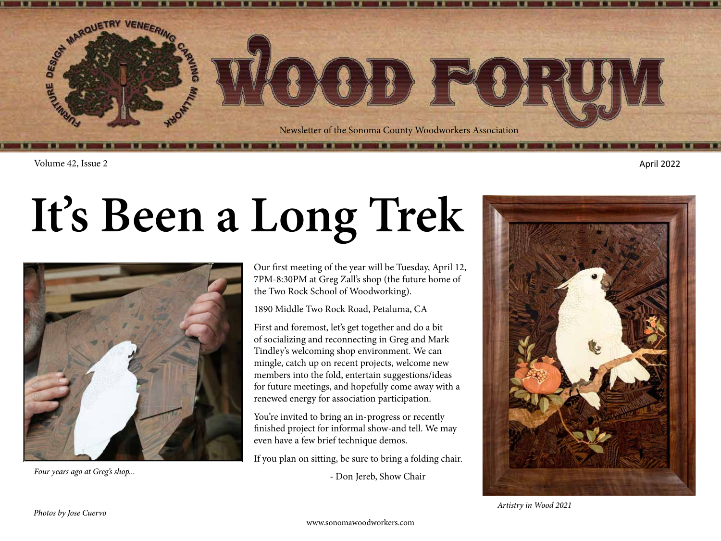

Volume 42, Issue 2 April 2022

## **It's Been a Long Trek**



Four years ago at Greg's shop...<br> **Four years ago at Greg's shop...**<br> **Four years ago at Greg's shop...** 

Our first meeting of the year will be Tuesday, April 12, 7PM-8:30PM at Greg Zall's shop (the future home of the Two Rock School of Woodworking).

1890 Middle Two Rock Road, Petaluma, CA

First and foremost, let's get together and do a bit of socializing and reconnecting in Greg and Mark Tindley's welcoming shop environment. We can mingle, catch up on recent projects, welcome new members into the fold, entertain suggestions/ideas for future meetings, and hopefully come away with a renewed energy for association participation.

You're invited to bring an in-progress or recently finished project for informal show-and tell. We may even have a few brief technique demos.

If you plan on sitting, be sure to bring a folding chair.

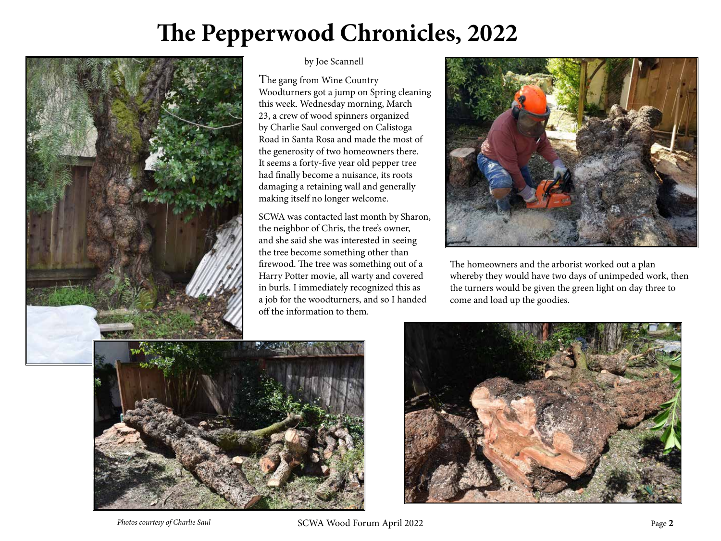## **The Pepperwood Chronicles, 2022**



## by Joe Scannell

The gang from Wine Country Woodturners got a jump on Spring cleaning this week. Wednesday morning, March 23, a crew of wood spinners organized by Charlie Saul converged on Calistoga Road in Santa Rosa and made the most of the generosity of two homeowners there. It seems a forty-five year old pepper tree had finally become a nuisance, its roots damaging a retaining wall and generally making itself no longer welcome.

SCWA was contacted last month by Sharon, the neighbor of Chris, the tree's owner, and she said she was interested in seeing the tree become something other than firewood. The tree was something out of a Harry Potter movie, all warty and covered in burls. I immediately recognized this as a job for the woodturners, and so I handed off the information to them.



The homeowners and the arborist worked out a plan whereby they would have two days of unimpeded work, then the turners would be given the green light on day three to come and load up the goodies.



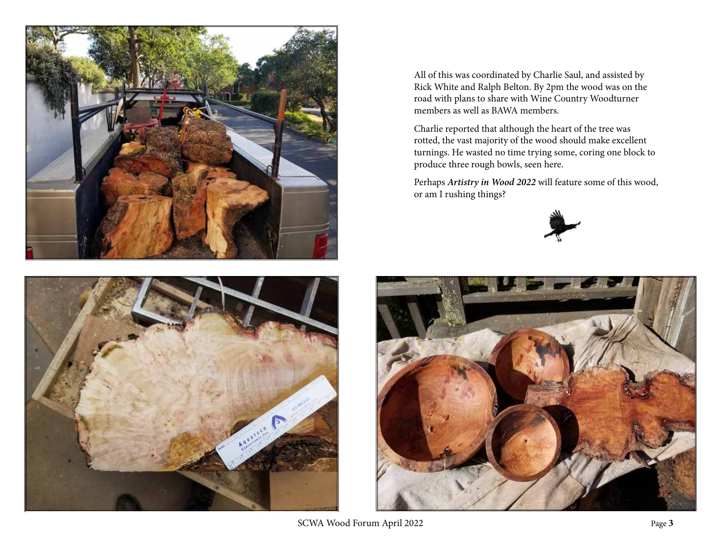



All of this was coordinated by Charlie Saul, and assisted by Rick White and Ralph Belton. By 2pm the wood was on the road with plans to share with Wine Country Woodturner members as well as BAWA members.

Charlie reported that although the heart of the tree was rotted, the vast majority of the wood should make excellent turnings. He wasted no time trying some, coring one block to produce three rough bowls, seen here.

Perhaps *Artistry in Wood 2022* will feature some of this wood, or am I rushing things?





SCWA Wood Forum April 2022 **Page 3**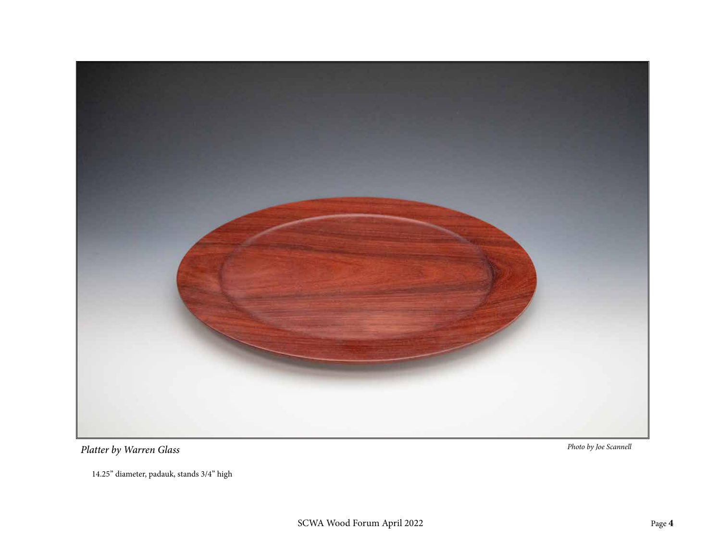

14.25" diameter, padauk, stands 3/4" high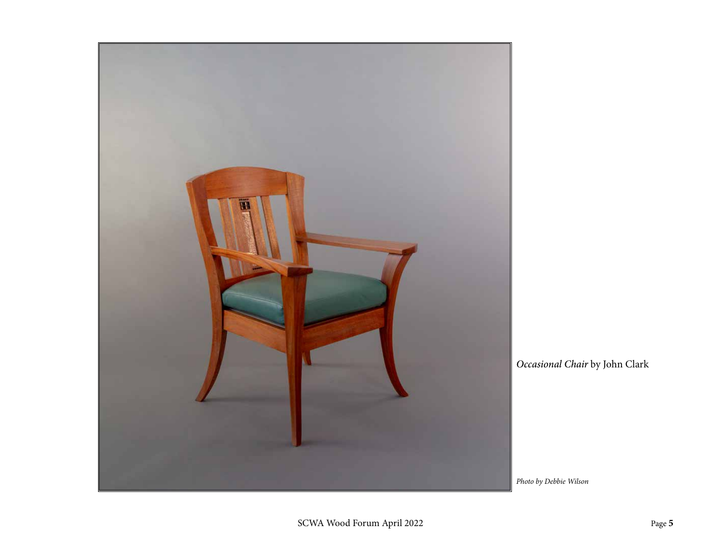![](_page_4_Picture_0.jpeg)

*Occasional Chair* by John Clark

*Photo by Debbie Wilson*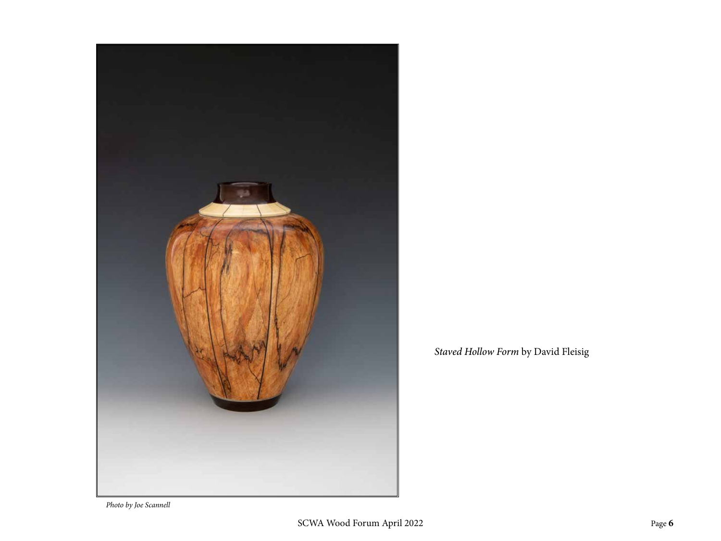![](_page_5_Picture_0.jpeg)

*Staved Hollow Form* by David Fleisig

*Photo by Joe Scannell*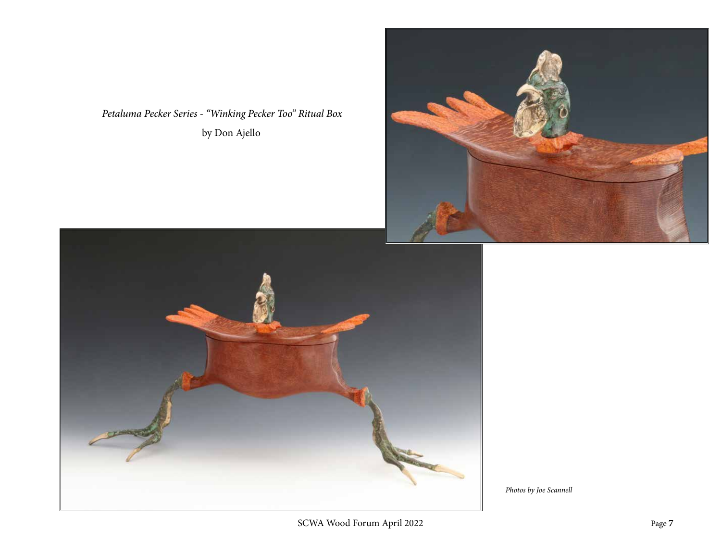*Petaluma Pecker Series - "Winking Pecker Too" Ritual Box* by Don Ajello

![](_page_6_Picture_1.jpeg)

![](_page_6_Picture_2.jpeg)

*Photos by Joe Scannell*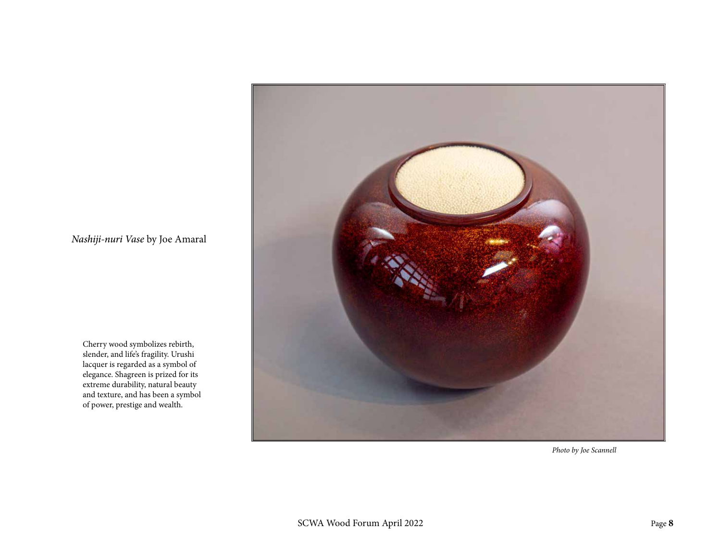![](_page_7_Picture_0.jpeg)

Cherry wood symbolizes rebirth, slender, and life's fragility. Urushi lacquer is regarded as a symbol of elegance. Shagreen is prized for its extreme durability, natural beauty and texture, and has been a symbol of power, prestige and wealth.

![](_page_7_Picture_2.jpeg)

*Photo by Joe Scannell*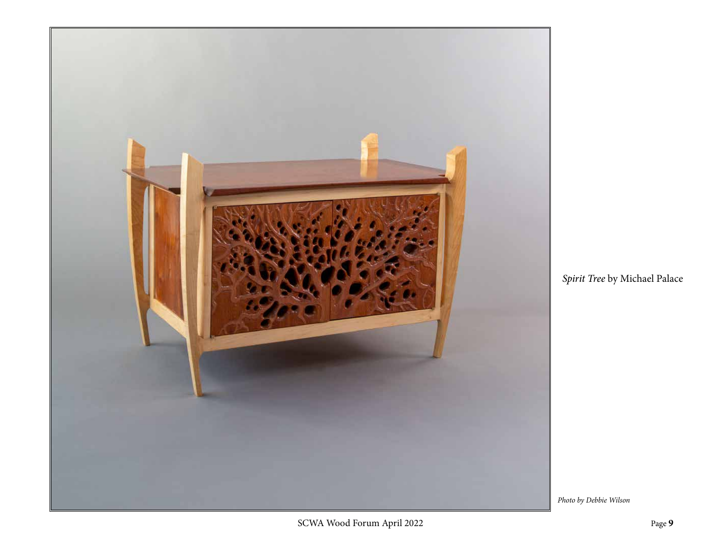![](_page_8_Picture_0.jpeg)

*Spirit Tree* by Michael Palace

*Photo by Debbie Wilson*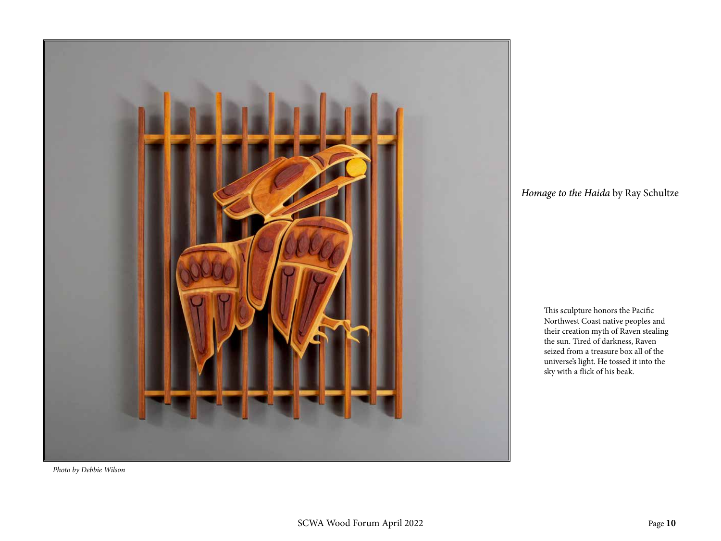![](_page_9_Picture_0.jpeg)

*Homage to the Haida* by Ray Schultze

This sculpture honors the Pacific Northwest Coast native peoples and their creation myth of Raven stealing the sun. Tired of darkness, Raven seized from a treasure box all of the universe's light. He tossed it into the sky with a flick of his beak.

*Photo by Debbie Wilson*